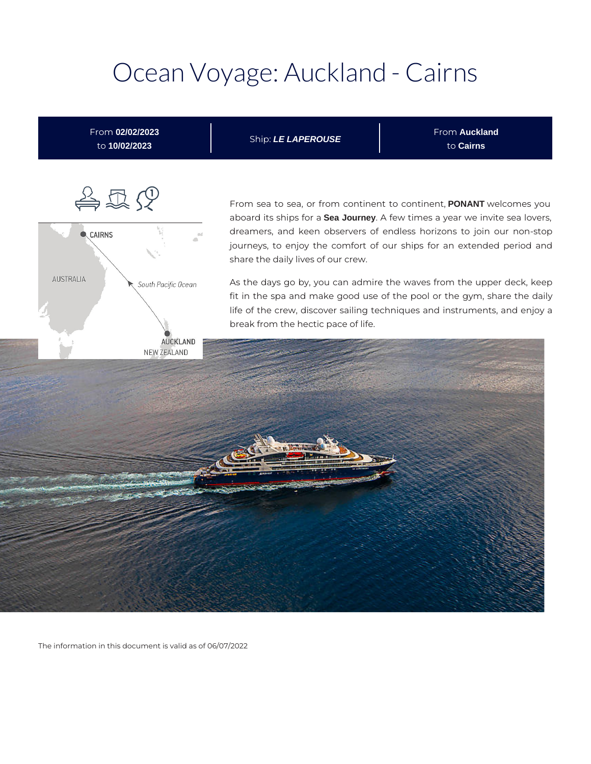# Ocean Voyage: Auckland - Cairns



The information in this document is valid as of 06/07/2022